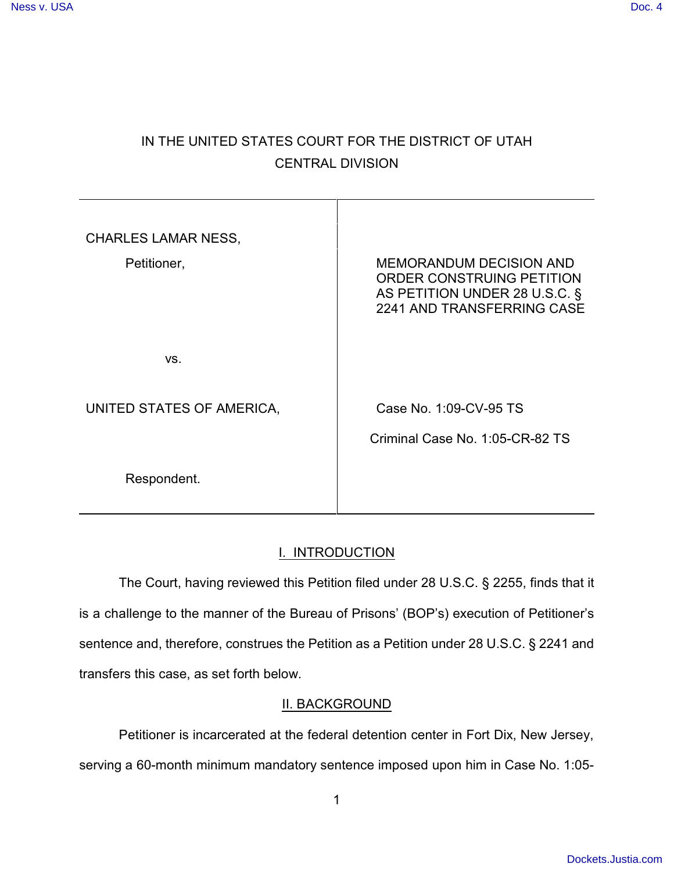# IN THE UNITED STATES COURT FOR THE DISTRICT OF UTAH CENTRAL DIVISION

| <b>CHARLES LAMAR NESS,</b><br>Petitioner, | <b>MEMORANDUM DECISION AND</b><br>ORDER CONSTRUING PETITION<br>AS PETITION UNDER 28 U.S.C. §<br>2241 AND TRANSFERRING CASE |
|-------------------------------------------|----------------------------------------------------------------------------------------------------------------------------|
| VS.                                       |                                                                                                                            |
| UNITED STATES OF AMERICA,                 | Case No. 1:09-CV-95 TS                                                                                                     |
| Respondent.                               | Criminal Case No. 1:05-CR-82 TS                                                                                            |

## I. INTRODUCTION

The Court, having reviewed this Petition filed under 28 U.S.C. § 2255, finds that it is a challenge to the manner of the Bureau of Prisons' (BOP's) execution of Petitioner's sentence and, therefore, construes the Petition as a Petition under 28 U.S.C. § 2241 and transfers this case, as set forth below.

### II. BACKGROUND

Petitioner is incarcerated at the federal detention center in Fort Dix, New Jersey, serving a 60-month minimum mandatory sentence imposed upon him in Case No. 1:05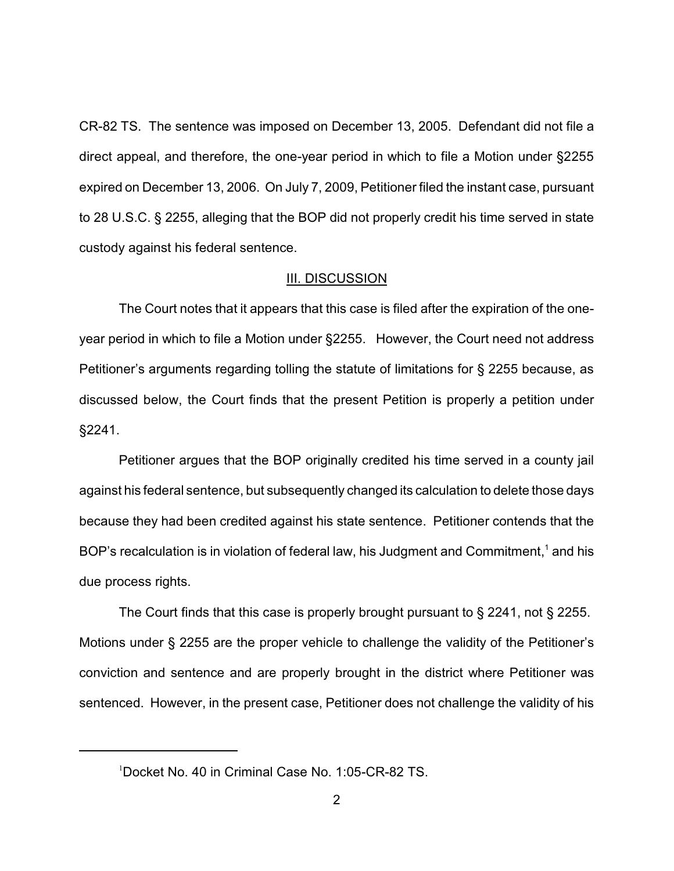CR-82 TS. The sentence was imposed on December 13, 2005. Defendant did not file a direct appeal, and therefore, the one-year period in which to file a Motion under §2255 expired on December 13, 2006. On July 7, 2009, Petitioner filed the instant case, pursuant to 28 U.S.C. § 2255, alleging that the BOP did not properly credit his time served in state custody against his federal sentence.

#### III. DISCUSSION

The Court notes that it appears that this case is filed after the expiration of the oneyear period in which to file a Motion under §2255. However, the Court need not address Petitioner's arguments regarding tolling the statute of limitations for § 2255 because, as discussed below, the Court finds that the present Petition is properly a petition under §2241.

Petitioner argues that the BOP originally credited his time served in a county jail against his federal sentence, but subsequently changed its calculation to delete those days because they had been credited against his state sentence. Petitioner contends that the BOP's recalculation is in violation of federal law, his Judgment and Commitment,<sup>1</sup> and his due process rights.

The Court finds that this case is properly brought pursuant to § 2241, not § 2255. Motions under § 2255 are the proper vehicle to challenge the validity of the Petitioner's conviction and sentence and are properly brought in the district where Petitioner was sentenced. However, in the present case, Petitioner does not challenge the validity of his

<sup>&</sup>lt;sup>1</sup>Docket No. 40 in Criminal Case No. 1:05-CR-82 TS.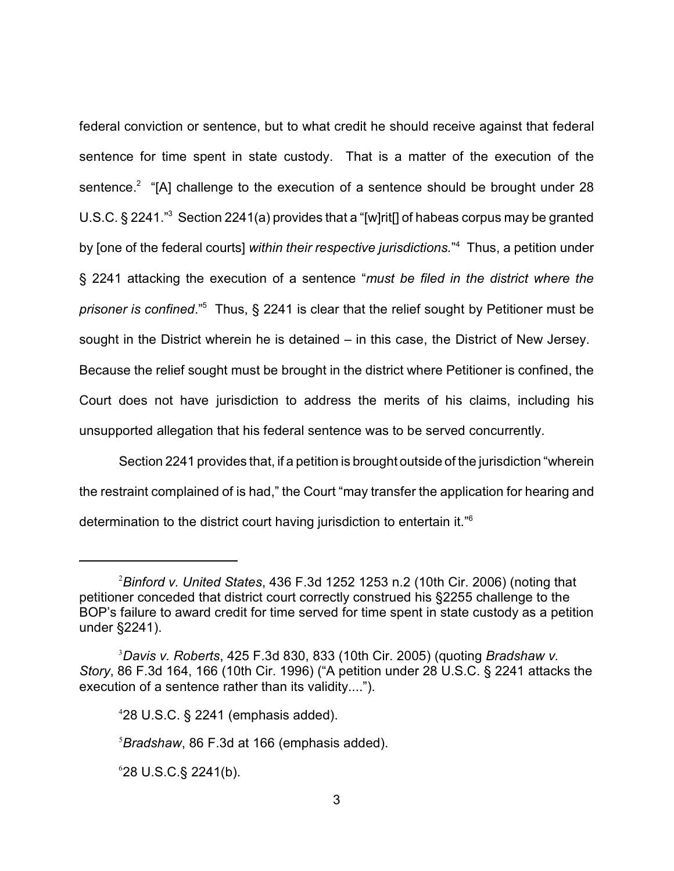federal conviction or sentence, but to what credit he should receive against that federal sentence for time spent in state custody. That is a matter of the execution of the sentence.<sup>2</sup> "[A] challenge to the execution of a sentence should be brought under 28 U.S.C. § 2241.<sup>3</sup> Section 2241(a) provides that a "[w]rit[] of habeas corpus may be granted by [one of the federal courts] *within their respective jurisdictions*.<sup>"4</sup> Thus, a petition under § 2241 attacking the execution of a sentence "*must be filed in the district where the prisoner is confined.*"<sup>5</sup> Thus, § 2241 is clear that the relief sought by Petitioner must be sought in the District wherein he is detained – in this case, the District of New Jersey. Because the relief sought must be brought in the district where Petitioner is confined, the Court does not have jurisdiction to address the merits of his claims, including his unsupported allegation that his federal sentence was to be served concurrently.

Section 2241 provides that, if a petition is brought outside of the jurisdiction "wherein the restraint complained of is had," the Court "may transfer the application for hearing and determination to the district court having jurisdiction to entertain it."<sup>6</sup>

 $628$  U.S.C. § 2241(b).

*Binford v. United States*, 436 F.3d 1252 1253 n.2 (10th Cir. 2006) (noting that 2 petitioner conceded that district court correctly construed his §2255 challenge to the BOP's failure to award credit for time served for time spent in state custody as a petition under §2241).

*Davis v. Roberts*, 425 F.3d 830, 833 (10th Cir. 2005) (quoting *Bradshaw v.* <sup>3</sup> *Story*, 86 F.3d 164, 166 (10th Cir. 1996) ("A petition under 28 U.S.C. § 2241 attacks the execution of a sentence rather than its validity....").

 $428$  U.S.C. § 2241 (emphasis added).

*Bradshaw*, 86 F.3d at 166 (emphasis added). <sup>5</sup>